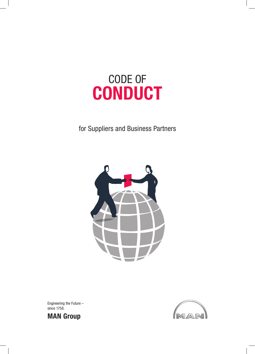

# for Suppliers and Business Partners



Engineering the Future – since 1758.



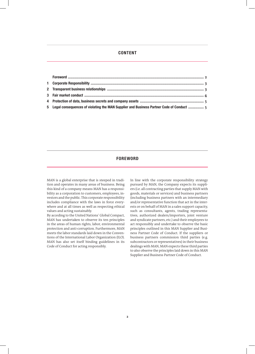# **CONTENT**

| 5 Legal consequences of violating the MAN Supplier and Business Partner Code of Conduct  5 |  |
|--------------------------------------------------------------------------------------------|--|

# **FOREWORD**

MAN is a global enterprise that is steeped in tradition and operates in many areas of business. Being this kind of a company means MAN has a responsibility as a corporation to customers, employees, investors and the public. This corporate responsibility includes compliance with the laws in force everywhere and at all times as well as respecting ethical values and acting sustainably.

By acceding to the United Nations' Global Compact, MAN has undertaken to observe its ten principles in the areas of human rights, labor, environmental protection and anti-corruption. Furthermore, MAN meets the labor standards laid down in the Conventions of the International Labor Organization (ILO). MAN has also set itself binding guidelines in its Code of Conduct for acting responsibly.

In line with the corporate responsibility strategy pursued by MAN, the Company expects its suppliers (i.e. all contracting parties that supply MAN with goods, materials or services) and business partners (including business partners with an intermediary and/or representative function that act in the interests or on behalf of MAN in a sales support capacity, such as consultants, agents, trading representatives, authorized dealers/importers, joint venture and syndicate partners, etc.) and their employees to act responsibly and undertake to observe the basic principles outlined in this MAN Supplier and Business Partner Code of Conduct. If the suppliers or business partners commission third parties (e.g. subcontractors or representatives) in their business dealings with MAN, MAN expects these third parties to also observe the principles laid down in this MAN Supplier and Business Partner Code of Conduct.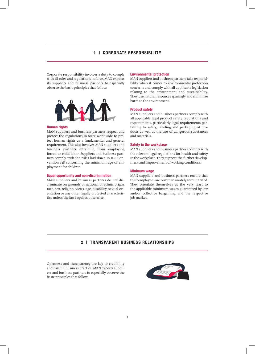# **1 | CORPORATE RESPONSIBILITY**

Corporate responsibility involves a duty to comply with all rules and regulations in force. MAN expects its suppliers and business partners to especially observe the basic principles that follow:



## **Human rights**

MAN suppliers and business partners respect and protect the regulations in force worldwide to protect human rights as a fundamental and general requirement. This also involves MAN suppliers and business partners refraining from employing forced or child labor. Suppliers and business partners comply with the rules laid down in ILO Convention 138 concerning the minimum age of employment for children.

#### **Equal opportunity and non-discrimination**

MAN suppliers and business partners do not discriminate on grounds of national or ethnic origin, race, sex, religion, views, age, disability, sexual orientation or any other legally protected characteristics unless the law requires otherwise.

#### **Environmental protection**

MAN suppliers and business partners take responsibility when it comes to environmental protection concerns and comply with all applicable legislation relating to the environment and sustainability. They use natural resources sparingly and minimize harm to the environment.

#### **Product safety**

MAN suppliers and business partners comply with all applicable legal product safety regulations and requirements, particularly legal requirements pertaining to safety, labeling and packaging of products as well as the use of dangerous substances and materials.

#### **Safety in the workplace**

MAN suppliers and business partners comply with the relevant legal regulations for health and safety in the workplace. They support the further development and improvement of working conditions.

#### **Minimum wage**

MAN suppliers and business partners ensure that their employees are commensurately remunerated. They orientate themselves at the very least to the applicable minimum wages guaranteed by law and/or collective bargaining and the respective job market.

## **2 | TRANSPARENT BUSINESS RELATIONSHIPS**

Openness and transparency are key to credibility and trust in business practice. MAN expects suppliers and business partners to especially observe the basic principles that follow:

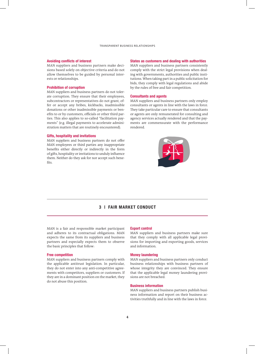#### **Avoiding conflicts of interest**

MAN suppliers and business partners make decisions based solely on objective criteria and do not allow themselves to be guided by personal interests or relationships.

#### **Prohibition of corruption**

MAN suppliers and business partners do not tolerate corruption. They ensure that their employees, subcontractors or representatives do not grant, offer or accept any bribes, kickbacks, inadmissible donations or other inadmissible payments or benefits to or by customers, officials or other third parties. This also applies to so-called "facilitation payments" (e.g. illegal payments to accelerate administration matters that are routinely encountered).

#### **Gifts, hospitality and invitations**

MAN suppliers and business partners do not offer MAN employees or third parties any inappropriate benefits either directly or indirectly in the form of gifts, hospitality or invitations to unduly influence them. Neither do they ask for nor accept such benefits.

#### **States as customers and dealing with authorities**

MAN suppliers and business partners consistently comply with the strict legal provisions when dealing with governments, authorities and public institutions. When taking part in a public solicitation for bids, they comply with legal regulations and abide by the rules of free and fair competition.

#### **Consultants and agents**

MAN suppliers and business partners only employ consultants or agents in line with the laws in force. They take particular care to ensure that consultants or agents are only remunerated for consulting and agency services actually rendered and that the payments are commensurate with the performance rendered.



## **3 | FAIR MARKET CONDUCT**

MAN is a fair and responsible market participant and adheres to its contractual obligations. MAN expects the same from its suppliers and business partners and especially expects them to observe the basic principles that follow:

#### **Free competition**

MAN suppliers and business partners comply with the applicable antitrust legislation. In particular, they do not enter into any anti-competitive agreements with competitors, suppliers or customers. If they are in a dominant position on the market, they do not abuse this position.

#### **Export control**

MAN suppliers and business partners make sure that they comply with all applicable legal provisions for importing and exporting goods, services and information.

#### **Money laundering**

MAN suppliers and business partners only conduct business relationships with business partners of whose integrity they are convinced. They ensure that the applicable legal money laundering provisions are not breached.

#### **Business information**

MAN suppliers and business partners publish business information and report on their business activities truthfully and in line with the laws in force.